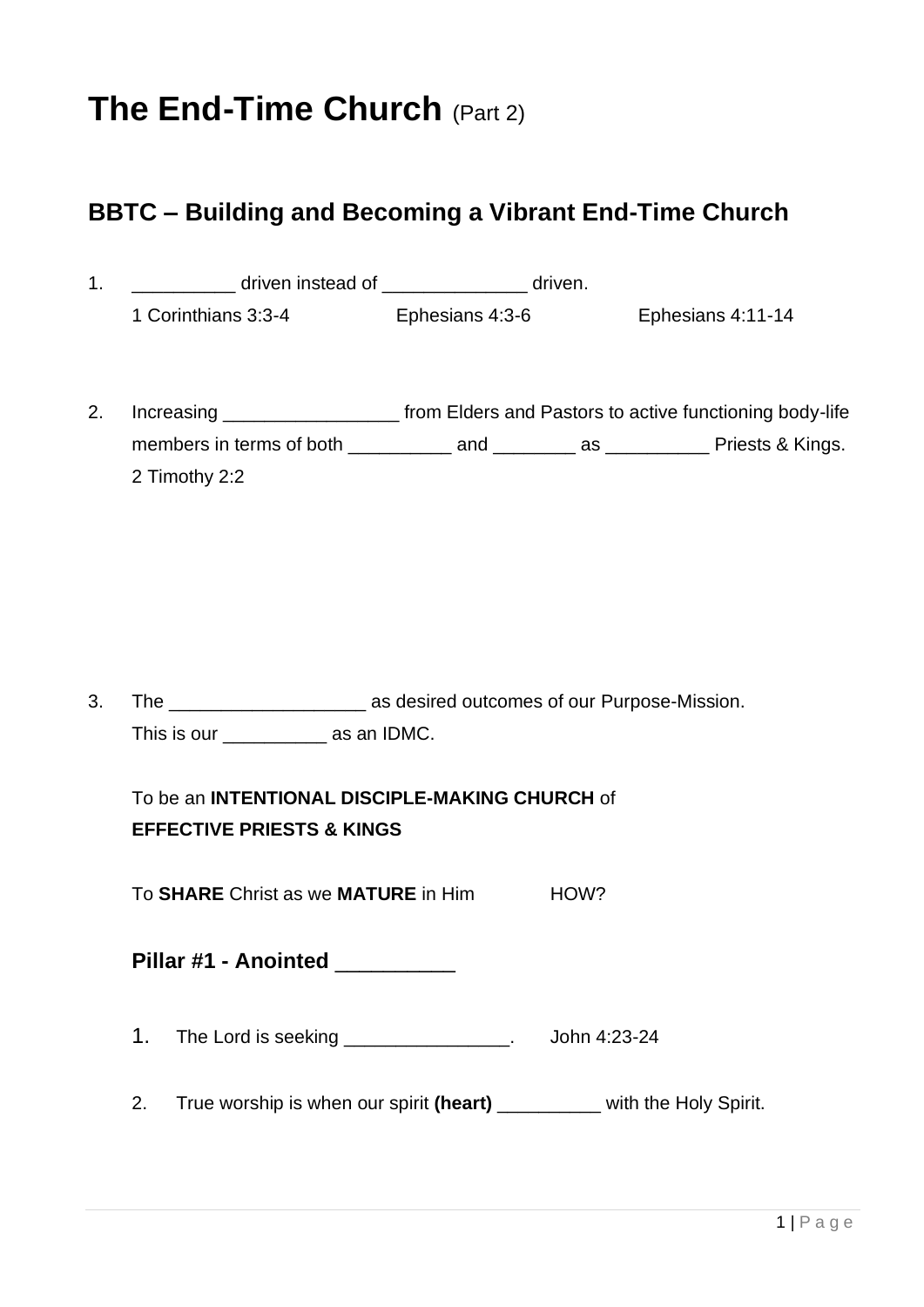# **The End-Time Church (Part 2)**

# **BBTC – Building and Becoming a Vibrant End-Time Church**

|    | 1. ________________ driven instead of ___________________ driven.                             |                                   |              |  |  |
|----|-----------------------------------------------------------------------------------------------|-----------------------------------|--------------|--|--|
|    | 1 Corinthians 3:3-4                                                                           | Ephesians 4:3-6 Ephesians 4:11-14 |              |  |  |
| 2. | Increasing ________________________ from Elders and Pastors to active functioning body-life   |                                   |              |  |  |
|    | members in terms of both ______________ and ___________ as ______________ Priests & Kings.    |                                   |              |  |  |
|    | 2 Timothy 2:2                                                                                 |                                   |              |  |  |
| 3. |                                                                                               |                                   |              |  |  |
|    | This is our _____________________ as an IDMC.                                                 |                                   |              |  |  |
|    | To be an <b>INTENTIONAL DISCIPLE-MAKING CHURCH</b> of<br><b>EFFECTIVE PRIESTS &amp; KINGS</b> |                                   |              |  |  |
|    | To SHARE Christ as we MATURE in Him<br>HOW?                                                   |                                   |              |  |  |
|    | Pillar #1 - Anointed __________                                                               |                                   |              |  |  |
|    | 1.<br>The Lord is seeking _________________.                                                  |                                   | John 4:23-24 |  |  |
|    | True worship is when our spirit (heart) _________ with the Holy Spirit.<br>2.                 |                                   |              |  |  |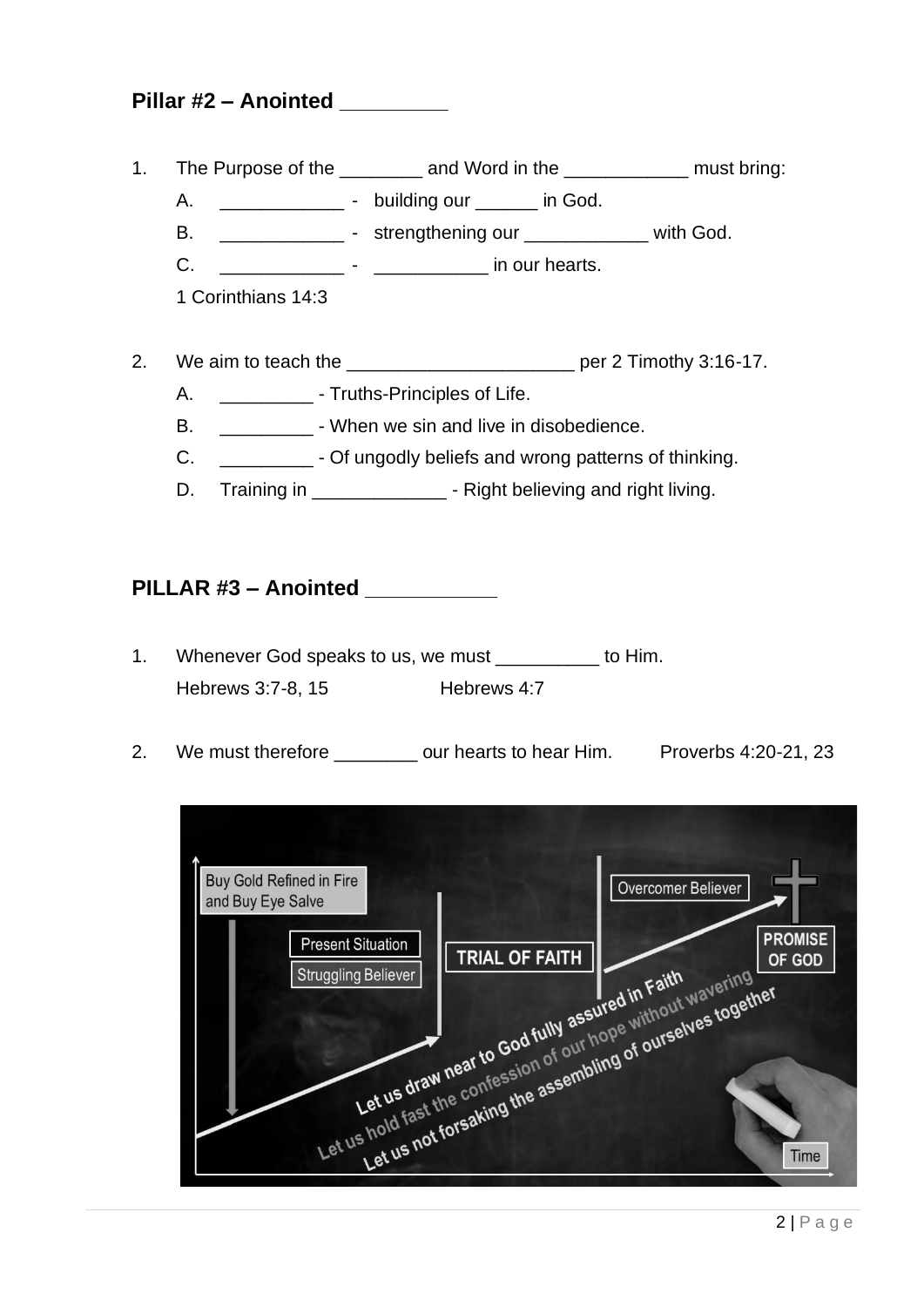### **Pillar #2 – Anointed \_\_\_\_\_\_\_\_\_**

- 1. The Purpose of the and Word in the must bring:
	- A. \_\_\_\_\_\_\_\_\_\_\_\_\_\_\_\_\_\_\_\_ building our \_\_\_\_\_\_\_ in God.
		- B. \_\_\_\_\_\_\_\_\_\_\_\_\_\_\_\_ strengthening our \_\_\_\_\_\_\_\_\_\_\_\_\_\_\_ with God.
		- C. \_\_\_\_\_\_\_\_\_\_\_\_ \_\_\_\_\_\_\_\_\_\_\_ in our hearts.

1 Corinthians 14:3

- 2. We aim to teach the **contract the contract of the per 2 Timothy 3:16-17.** 
	- A. \_\_\_\_\_\_\_\_\_\_\_\_\_\_ Truths-Principles of Life.
	- B. \_\_\_\_\_\_\_\_\_\_\_\_\_ When we sin and live in disobedience.
	- C. \_\_\_\_\_\_\_\_\_\_\_\_\_\_ Of ungodly beliefs and wrong patterns of thinking.
	- D. Training in \_\_\_\_\_\_\_\_\_\_\_\_\_\_\_\_\_\_- Right believing and right living.

## **PILLAR #3 – Anointed \_\_\_\_\_\_\_\_\_\_\_**

- 1. Whenever God speaks to us, we must to Him. Hebrews 3:7-8, 15 Hebrews 4:7
- 2. We must therefore \_\_\_\_\_\_\_\_\_ our hearts to hear Him. Proverbs 4:20-21, 23

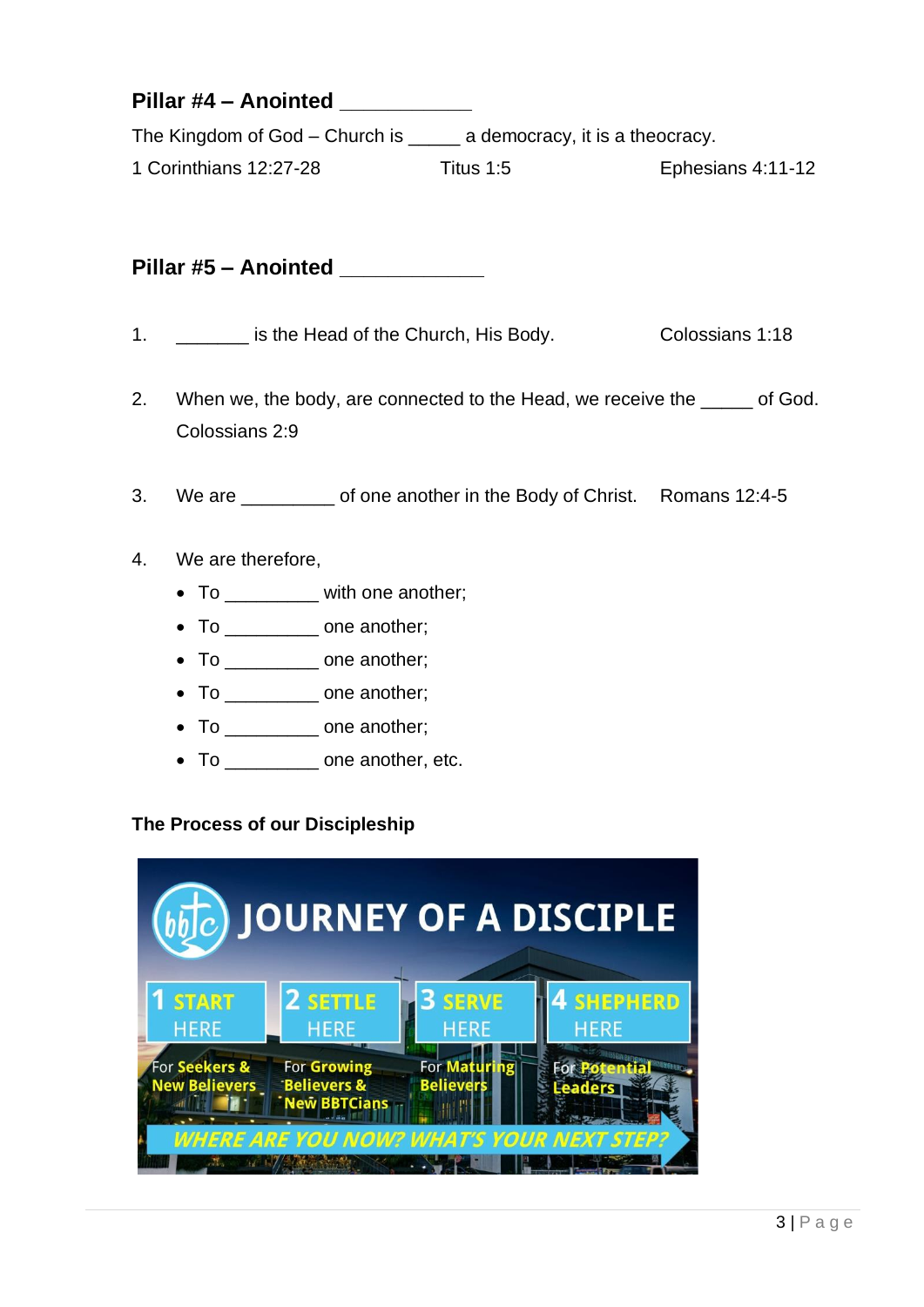### **Pillar #4 – Anointed \_\_\_\_\_\_\_\_\_\_\_**

The Kingdom of God – Church is \_\_\_\_\_ a democracy, it is a theocracy.

1 Corinthians 12:27-28 Titus 1:5 Ephesians 4:11-12

**Pillar #5 – Anointed \_\_\_\_\_\_\_\_\_\_\_\_**

- 1. **Show is the Head of the Church, His Body.** Colossians 1:18
- 2. When we, the body, are connected to the Head, we receive the \_\_\_\_ of God. Colossians 2:9
- 3. We are of one another in the Body of Christ. Romans 12:4-5
- 4. We are therefore,
	- To with one another;
	- To \_\_\_\_\_\_\_\_\_ one another;
	- To \_\_\_\_\_\_\_\_\_ one another;
	- To \_\_\_\_\_\_\_\_\_ one another;
	- To \_\_\_\_\_\_\_\_\_ one another;
	- To \_\_\_\_\_\_\_\_\_\_\_ one another, etc.

#### **The Process of our Discipleship**